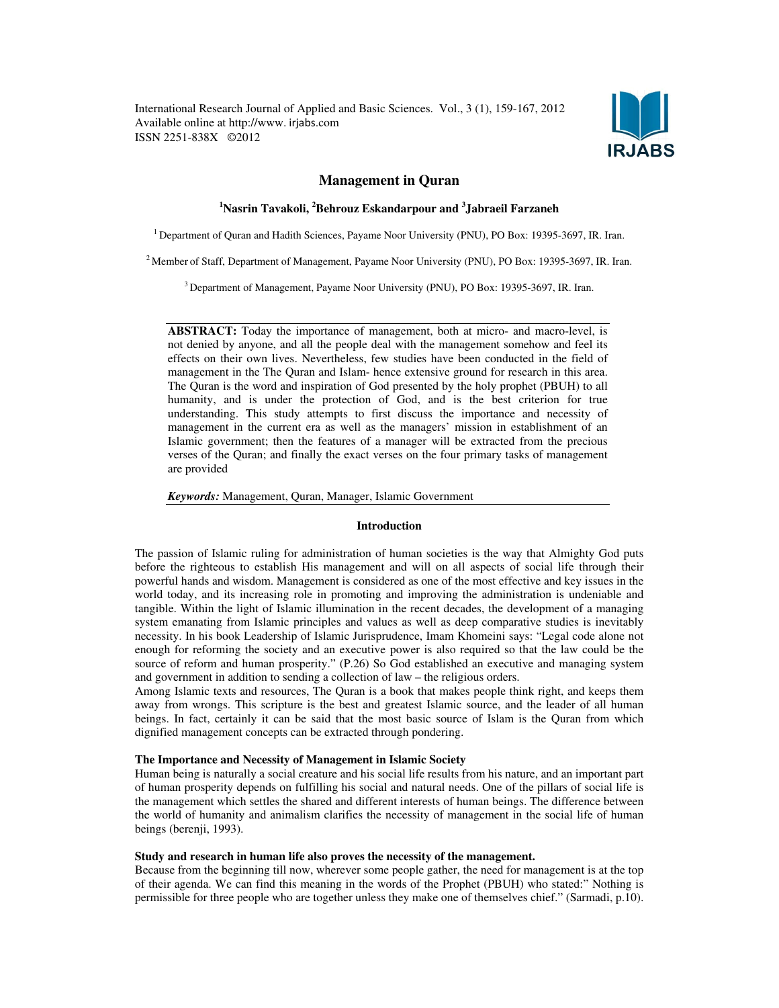International Research Journal of Applied and Basic Sciences. Vol., 3 (1), 159-167, 2012 Available online at http://www. irjabs.com ISSN 2251-838X ©2012



# Management in Quran

# <sup>1</sup>Nasrin Tavakoli, <sup>2</sup>Behrouz Eskandarpour and <sup>3</sup>Jabraeil Farzaneh

<sup>1</sup>Department of Quran and Hadith Sciences, Payame Noor University (PNU), PO Box: 19395-3697, IR. Iran.

<sup>2</sup> Member of Staff, Department of Management, Payame Noor University (PNU), PO Box: 19395-3697, IR. Iran.

<sup>3</sup> Department of Management, Payame Noor University (PNU), PO Box: 19395-3697, IR. Iran.

ABSTRACT: Today the importance of management, both at micro- and macro-level, is not denied by anyone, and all the people deal with the management somehow and feel its effects on their own lives. Nevertheless, few studies have been conducted in the field of management in the The Quran and Islam- hence extensive ground for research in this area. The Quran is the word and inspiration of God presented by the holy prophet (PBUH) to all humanity, and is under the protection of God, and is the best criterion for true understanding. This study attempts to first discuss the importance and necessity of management in the current era as well as the managers' mission in establishment of an Islamic government; then the features of a manager will be extracted from the precious verses of the Quran; and finally the exact verses on the four primary tasks of management are provided

Keywords: Management, Quran, Manager, Islamic Government

### Introduction

The passion of Islamic ruling for administration of human societies is the way that Almighty God puts before the righteous to establish His management and will on all aspects of social life through their powerful hands and wisdom. Management is considered as one of the most effective and key issues in the world today, and its increasing role in promoting and improving the administration is undeniable and tangible. Within the light of Islamic illumination in the recent decades, the development of a managing system emanating from Islamic principles and values as well as deep comparative studies is inevitably necessity. In his book Leadership of Islamic Jurisprudence, Imam Khomeini says: "Legal code alone not enough for reforming the society and an executive power is also required so that the law could be the source of reform and human prosperity." (P.26) So God established an executive and managing system and government in addition to sending a collection of law – the religious orders.

Among Islamic texts and resources, The Quran is a book that makes people think right, and keeps them away from wrongs. This scripture is the best and greatest Islamic source, and the leader of all human beings. In fact, certainly it can be said that the most basic source of Islam is the Quran from which dignified management concepts can be extracted through pondering.

## The Importance and Necessity of Management in Islamic Society

Human being is naturally a social creature and his social life results from his nature, and an important part of human prosperity depends on fulfilling his social and natural needs. One of the pillars of social life is the management which settles the shared and different interests of human beings. The difference between the world of humanity and animalism clarifies the necessity of management in the social life of human beings (berenji, 1993).

### Study and research in human life also proves the necessity of the management.

Because from the beginning till now, wherever some people gather, the need for management is at the top of their agenda. We can find this meaning in the words of the Prophet (PBUH) who stated:" Nothing is permissible for three people who are together unless they make one of themselves chief." (Sarmadi, p.10).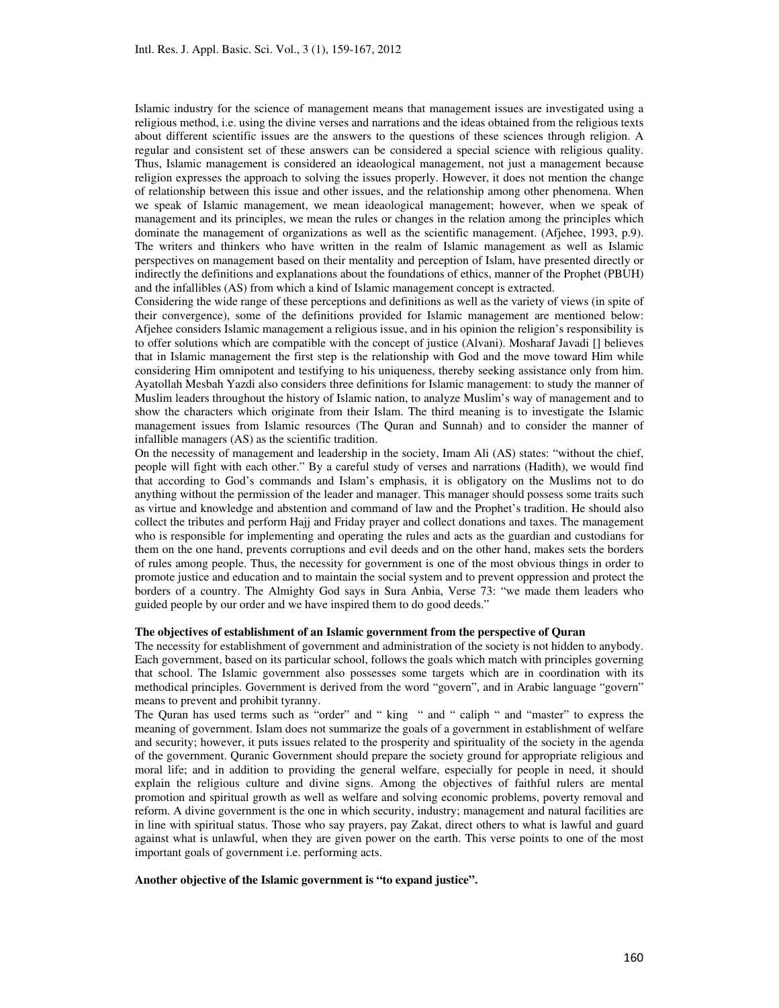Islamic industry for the science of management means that management issues are investigated using a religious method, i.e. using the divine verses and narrations and the ideas obtained from the religious texts about different scientific issues are the answers to the questions of these sciences through religion. A regular and consistent set of these answers can be considered a special science with religious quality. Thus, Islamic management is considered an ideaological management, not just a management because religion expresses the approach to solving the issues properly. However, it does not mention the change of relationship between this issue and other issues, and the relationship among other phenomena. When we speak of Islamic management, we mean ideaological management; however, when we speak of management and its principles, we mean the rules or changes in the relation among the principles which dominate the management of organizations as well as the scientific management. (Afjehee, 1993, p.9). The writers and thinkers who have written in the realm of Islamic management as well as Islamic perspectives on management based on their mentality and perception of Islam, have presented directly or indirectly the definitions and explanations about the foundations of ethics, manner of the Prophet (PBUH) and the infallibles (AS) from which a kind of Islamic management concept is extracted.

Considering the wide range of these perceptions and definitions as well as the variety of views (in spite of their convergence), some of the definitions provided for Islamic management are mentioned below: Afjehee considers Islamic management a religious issue, and in his opinion the religion's responsibility is to offer solutions which are compatible with the concept of justice (Alvani). Mosharaf Javadi [] believes that in Islamic management the first step is the relationship with God and the move toward Him while considering Him omnipotent and testifying to his uniqueness, thereby seeking assistance only from him. Ayatollah Mesbah Yazdi also considers three definitions for Islamic management: to study the manner of Muslim leaders throughout the history of Islamic nation, to analyze Muslim's way of management and to show the characters which originate from their Islam. The third meaning is to investigate the Islamic management issues from Islamic resources (The Quran and Sunnah) and to consider the manner of infallible managers (AS) as the scientific tradition.

On the necessity of management and leadership in the society, Imam Ali (AS) states: "without the chief, people will fight with each other." By a careful study of verses and narrations (Hadith), we would find that according to God's commands and Islam's emphasis, it is obligatory on the Muslims not to do anything without the permission of the leader and manager. This manager should possess some traits such as virtue and knowledge and abstention and command of law and the Prophet's tradition. He should also collect the tributes and perform Hajj and Friday prayer and collect donations and taxes. The management who is responsible for implementing and operating the rules and acts as the guardian and custodians for them on the one hand, prevents corruptions and evil deeds and on the other hand, makes sets the borders of rules among people. Thus, the necessity for government is one of the most obvious things in order to promote justice and education and to maintain the social system and to prevent oppression and protect the borders of a country. The Almighty God says in Sura Anbia, Verse 73: "we made them leaders who guided people by our order and we have inspired them to do good deeds."

## The objectives of establishment of an Islamic government from the perspective of Quran

The necessity for establishment of government and administration of the society is not hidden to anybody. Each government, based on its particular school, follows the goals which match with principles governing that school. The Islamic government also possesses some targets which are in coordination with its methodical principles. Government is derived from the word "govern", and in Arabic language "govern" means to prevent and prohibit tyranny.

The Quran has used terms such as "order" and " king " and " caliph " and "master" to express the meaning of government. Islam does not summarize the goals of a government in establishment of welfare and security; however, it puts issues related to the prosperity and spirituality of the society in the agenda of the government. Quranic Government should prepare the society ground for appropriate religious and moral life; and in addition to providing the general welfare, especially for people in need, it should explain the religious culture and divine signs. Among the objectives of faithful rulers are mental promotion and spiritual growth as well as welfare and solving economic problems, poverty removal and reform. A divine government is the one in which security, industry; management and natural facilities are in line with spiritual status. Those who say prayers, pay Zakat, direct others to what is lawful and guard against what is unlawful, when they are given power on the earth. This verse points to one of the most important goals of government i.e. performing acts.

### Another objective of the Islamic government is "to expand justice".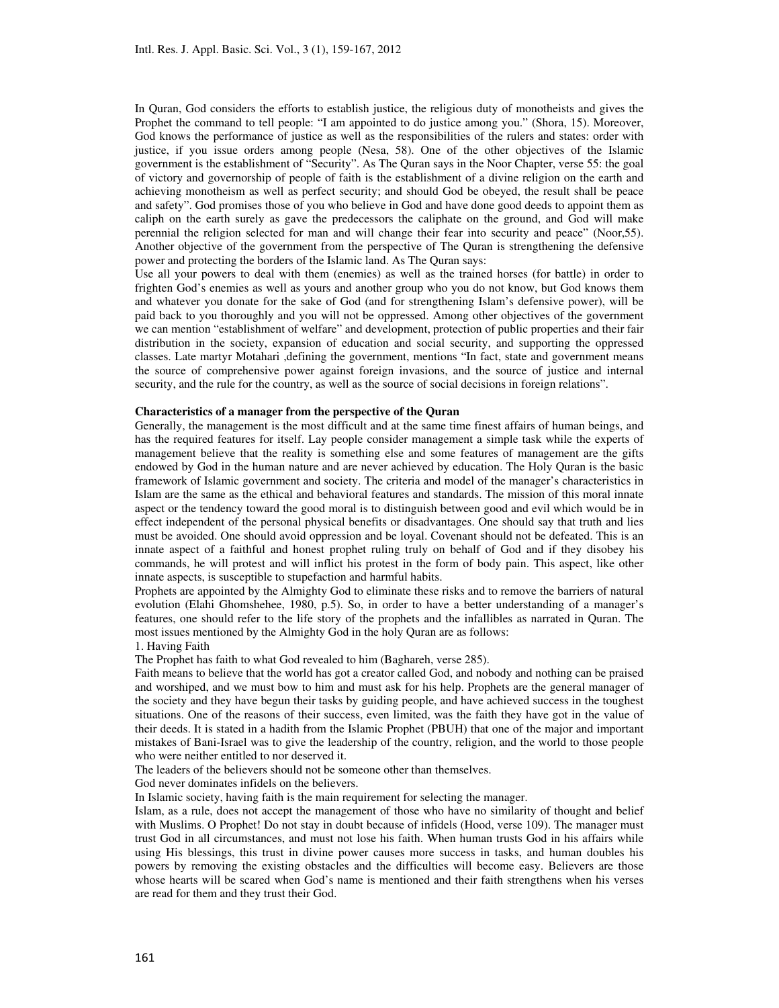In Quran, God considers the efforts to establish justice, the religious duty of monotheists and gives the Prophet the command to tell people: "I am appointed to do justice among you." (Shora, 15). Moreover, God knows the performance of justice as well as the responsibilities of the rulers and states: order with justice, if you issue orders among people (Nesa, 58). One of the other objectives of the Islamic government is the establishment of "Security". As The Quran says in the Noor Chapter, verse 55: the goal of victory and governorship of people of faith is the establishment of a divine religion on the earth and achieving monotheism as well as perfect security; and should God be obeyed, the result shall be peace and safety". God promises those of you who believe in God and have done good deeds to appoint them as caliph on the earth surely as gave the predecessors the caliphate on the ground, and God will make perennial the religion selected for man and will change their fear into security and peace" (Noor,55). Another objective of the government from the perspective of The Quran is strengthening the defensive power and protecting the borders of the Islamic land. As The Quran says:

Use all your powers to deal with them (enemies) as well as the trained horses (for battle) in order to frighten God's enemies as well as yours and another group who you do not know, but God knows them and whatever you donate for the sake of God (and for strengthening Islam's defensive power), will be paid back to you thoroughly and you will not be oppressed. Among other objectives of the government we can mention "establishment of welfare" and development, protection of public properties and their fair distribution in the society, expansion of education and social security, and supporting the oppressed classes. Late martyr Motahari ,defining the government, mentions "In fact, state and government means the source of comprehensive power against foreign invasions, and the source of justice and internal security, and the rule for the country, as well as the source of social decisions in foreign relations".

### Characteristics of a manager from the perspective of the Quran

Generally, the management is the most difficult and at the same time finest affairs of human beings, and has the required features for itself. Lay people consider management a simple task while the experts of management believe that the reality is something else and some features of management are the gifts endowed by God in the human nature and are never achieved by education. The Holy Quran is the basic framework of Islamic government and society. The criteria and model of the manager's characteristics in Islam are the same as the ethical and behavioral features and standards. The mission of this moral innate aspect or the tendency toward the good moral is to distinguish between good and evil which would be in effect independent of the personal physical benefits or disadvantages. One should say that truth and lies must be avoided. One should avoid oppression and be loyal. Covenant should not be defeated. This is an innate aspect of a faithful and honest prophet ruling truly on behalf of God and if they disobey his commands, he will protest and will inflict his protest in the form of body pain. This aspect, like other innate aspects, is susceptible to stupefaction and harmful habits.

Prophets are appointed by the Almighty God to eliminate these risks and to remove the barriers of natural evolution (Elahi Ghomshehee, 1980, p.5). So, in order to have a better understanding of a manager's features, one should refer to the life story of the prophets and the infallibles as narrated in Quran. The most issues mentioned by the Almighty God in the holy Quran are as follows:

### 1. Having Faith

The Prophet has faith to what God revealed to him (Baghareh, verse 285).

Faith means to believe that the world has got a creator called God, and nobody and nothing can be praised and worshiped, and we must bow to him and must ask for his help. Prophets are the general manager of the society and they have begun their tasks by guiding people, and have achieved success in the toughest situations. One of the reasons of their success, even limited, was the faith they have got in the value of their deeds. It is stated in a hadith from the Islamic Prophet (PBUH) that one of the major and important mistakes of Bani-Israel was to give the leadership of the country, religion, and the world to those people who were neither entitled to nor deserved it.

The leaders of the believers should not be someone other than themselves.

God never dominates infidels on the believers.

In Islamic society, having faith is the main requirement for selecting the manager.

Islam, as a rule, does not accept the management of those who have no similarity of thought and belief with Muslims. O Prophet! Do not stay in doubt because of infidels (Hood, verse 109). The manager must trust God in all circumstances, and must not lose his faith. When human trusts God in his affairs while using His blessings, this trust in divine power causes more success in tasks, and human doubles his powers by removing the existing obstacles and the difficulties will become easy. Believers are those whose hearts will be scared when God's name is mentioned and their faith strengthens when his verses are read for them and they trust their God.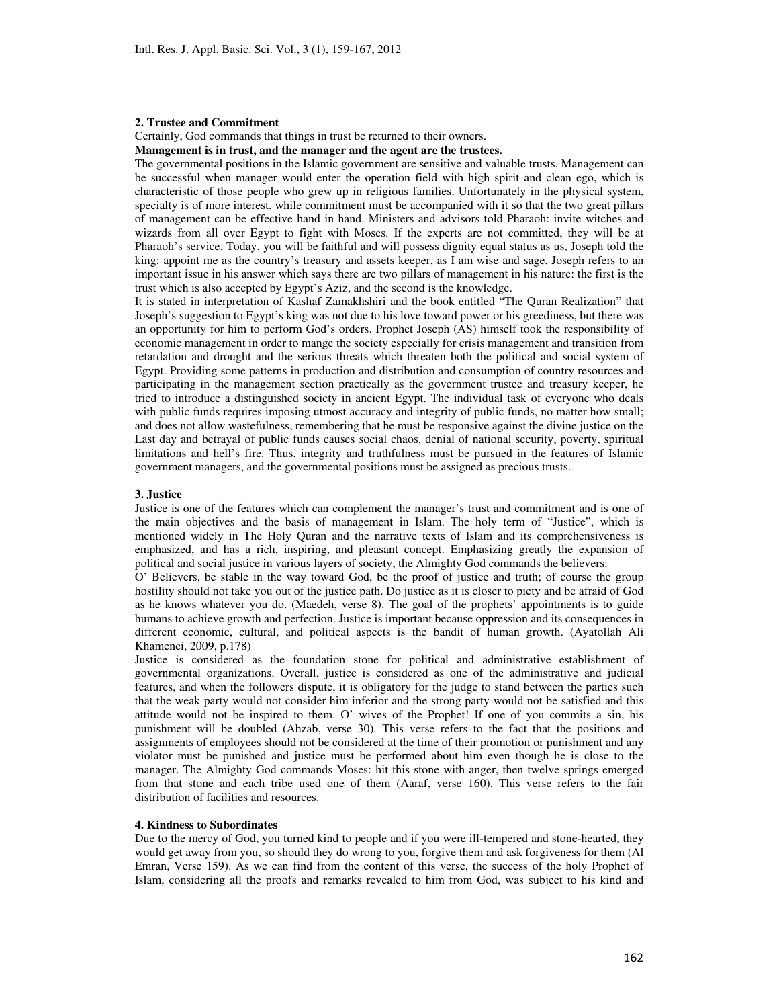#### 2. Trustee and Commitment

Certainly, God commands that things in trust be returned to their owners.

Management is in trust, and the manager and the agent are the trustees.

The governmental positions in the Islamic government are sensitive and valuable trusts. Management can be successful when manager would enter the operation field with high spirit and clean ego, which is characteristic of those people who grew up in religious families. Unfortunately in the physical system, specialty is of more interest, while commitment must be accompanied with it so that the two great pillars of management can be effective hand in hand. Ministers and advisors told Pharaoh: invite witches and wizards from all over Egypt to fight with Moses. If the experts are not committed, they will be at Pharaoh's service. Today, you will be faithful and will possess dignity equal status as us, Joseph told the king: appoint me as the country's treasury and assets keeper, as I am wise and sage. Joseph refers to an important issue in his answer which says there are two pillars of management in his nature: the first is the trust which is also accepted by Egypt's Aziz, and the second is the knowledge.

It is stated in interpretation of Kashaf Zamakhshiri and the book entitled "The Quran Realization" that Joseph's suggestion to Egypt's king was not due to his love toward power or his greediness, but there was an opportunity for him to perform God's orders. Prophet Joseph (AS) himself took the responsibility of economic management in order to mange the society especially for crisis management and transition from retardation and drought and the serious threats which threaten both the political and social system of Egypt. Providing some patterns in production and distribution and consumption of country resources and participating in the management section practically as the government trustee and treasury keeper, he tried to introduce a distinguished society in ancient Egypt. The individual task of everyone who deals with public funds requires imposing utmost accuracy and integrity of public funds, no matter how small; and does not allow wastefulness, remembering that he must be responsive against the divine justice on the Last day and betrayal of public funds causes social chaos, denial of national security, poverty, spiritual limitations and hell's fire. Thus, integrity and truthfulness must be pursued in the features of Islamic government managers, and the governmental positions must be assigned as precious trusts.

## 3. Justice

Justice is one of the features which can complement the manager's trust and commitment and is one of the main objectives and the basis of management in Islam. The holy term of "Justice", which is mentioned widely in The Holy Quran and the narrative texts of Islam and its comprehensiveness is emphasized, and has a rich, inspiring, and pleasant concept. Emphasizing greatly the expansion of political and social justice in various layers of society, the Almighty God commands the believers:

O' Believers, be stable in the way toward God, be the proof of justice and truth; of course the group hostility should not take you out of the justice path. Do justice as it is closer to piety and be afraid of God as he knows whatever you do. (Maedeh, verse 8). The goal of the prophets' appointments is to guide humans to achieve growth and perfection. Justice is important because oppression and its consequences in different economic, cultural, and political aspects is the bandit of human growth. (Ayatollah Ali Khamenei, 2009, p.178)

Justice is considered as the foundation stone for political and administrative establishment of governmental organizations. Overall, justice is considered as one of the administrative and judicial features, and when the followers dispute, it is obligatory for the judge to stand between the parties such that the weak party would not consider him inferior and the strong party would not be satisfied and this attitude would not be inspired to them. O' wives of the Prophet! If one of you commits a sin, his punishment will be doubled (Ahzab, verse 30). This verse refers to the fact that the positions and assignments of employees should not be considered at the time of their promotion or punishment and any violator must be punished and justice must be performed about him even though he is close to the manager. The Almighty God commands Moses: hit this stone with anger, then twelve springs emerged from that stone and each tribe used one of them (Aaraf, verse 160). This verse refers to the fair distribution of facilities and resources.

## 4. Kindness to Subordinates

Due to the mercy of God, you turned kind to people and if you were ill-tempered and stone-hearted, they would get away from you, so should they do wrong to you, forgive them and ask forgiveness for them (Al Emran, Verse 159). As we can find from the content of this verse, the success of the holy Prophet of Islam, considering all the proofs and remarks revealed to him from God, was subject to his kind and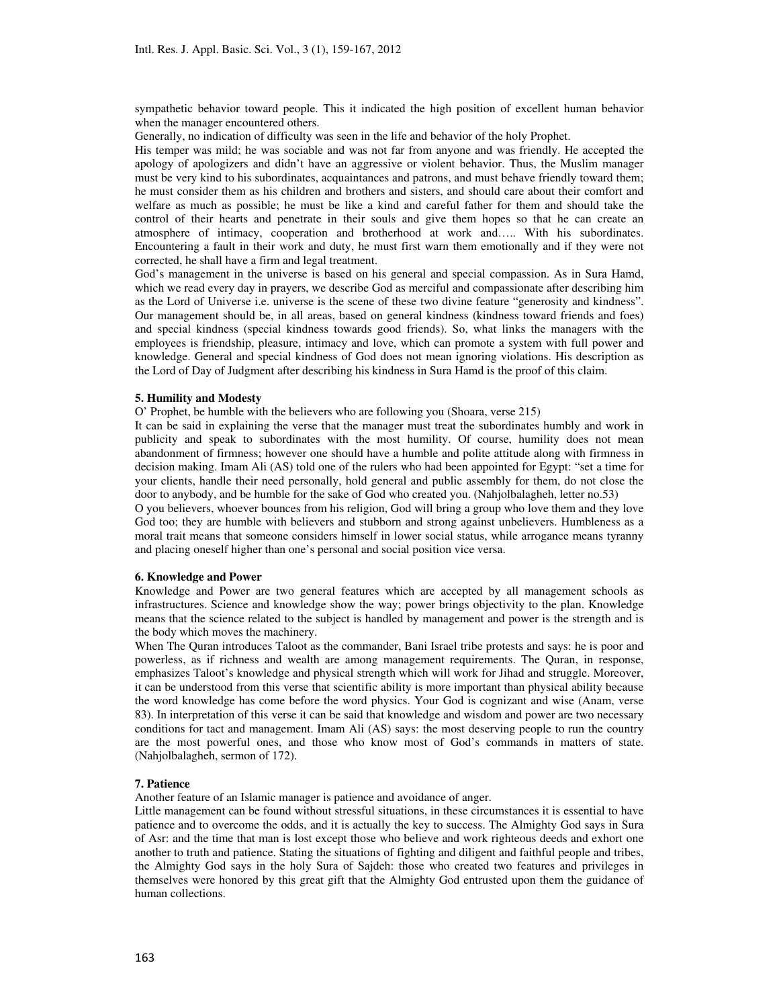sympathetic behavior toward people. This it indicated the high position of excellent human behavior when the manager encountered others.

Generally, no indication of difficulty was seen in the life and behavior of the holy Prophet.

His temper was mild; he was sociable and was not far from anyone and was friendly. He accepted the apology of apologizers and didn't have an aggressive or violent behavior. Thus, the Muslim manager must be very kind to his subordinates, acquaintances and patrons, and must behave friendly toward them; he must consider them as his children and brothers and sisters, and should care about their comfort and welfare as much as possible; he must be like a kind and careful father for them and should take the control of their hearts and penetrate in their souls and give them hopes so that he can create an atmosphere of intimacy, cooperation and brotherhood at work and….. With his subordinates. Encountering a fault in their work and duty, he must first warn them emotionally and if they were not corrected, he shall have a firm and legal treatment.

God's management in the universe is based on his general and special compassion. As in Sura Hamd, which we read every day in prayers, we describe God as merciful and compassionate after describing him as the Lord of Universe i.e. universe is the scene of these two divine feature "generosity and kindness". Our management should be, in all areas, based on general kindness (kindness toward friends and foes) and special kindness (special kindness towards good friends). So, what links the managers with the employees is friendship, pleasure, intimacy and love, which can promote a system with full power and knowledge. General and special kindness of God does not mean ignoring violations. His description as the Lord of Day of Judgment after describing his kindness in Sura Hamd is the proof of this claim.

### 5. Humility and Modesty

O' Prophet, be humble with the believers who are following you (Shoara, verse 215)

It can be said in explaining the verse that the manager must treat the subordinates humbly and work in publicity and speak to subordinates with the most humility. Of course, humility does not mean abandonment of firmness; however one should have a humble and polite attitude along with firmness in decision making. Imam Ali (AS) told one of the rulers who had been appointed for Egypt: "set a time for your clients, handle their need personally, hold general and public assembly for them, do not close the door to anybody, and be humble for the sake of God who created you. (Nahjolbalagheh, letter no.53)

O you believers, whoever bounces from his religion, God will bring a group who love them and they love God too; they are humble with believers and stubborn and strong against unbelievers. Humbleness as a moral trait means that someone considers himself in lower social status, while arrogance means tyranny and placing oneself higher than one's personal and social position vice versa.

### 6. Knowledge and Power

Knowledge and Power are two general features which are accepted by all management schools as infrastructures. Science and knowledge show the way; power brings objectivity to the plan. Knowledge means that the science related to the subject is handled by management and power is the strength and is the body which moves the machinery.

When The Quran introduces Taloot as the commander, Bani Israel tribe protests and says: he is poor and powerless, as if richness and wealth are among management requirements. The Quran, in response, emphasizes Taloot's knowledge and physical strength which will work for Jihad and struggle. Moreover, it can be understood from this verse that scientific ability is more important than physical ability because the word knowledge has come before the word physics. Your God is cognizant and wise (Anam, verse 83). In interpretation of this verse it can be said that knowledge and wisdom and power are two necessary conditions for tact and management. Imam Ali (AS) says: the most deserving people to run the country are the most powerful ones, and those who know most of God's commands in matters of state. (Nahjolbalagheh, sermon of 172).

#### 7. Patience

Another feature of an Islamic manager is patience and avoidance of anger.

Little management can be found without stressful situations, in these circumstances it is essential to have patience and to overcome the odds, and it is actually the key to success. The Almighty God says in Sura of Asr: and the time that man is lost except those who believe and work righteous deeds and exhort one another to truth and patience. Stating the situations of fighting and diligent and faithful people and tribes, the Almighty God says in the holy Sura of Sajdeh: those who created two features and privileges in themselves were honored by this great gift that the Almighty God entrusted upon them the guidance of human collections.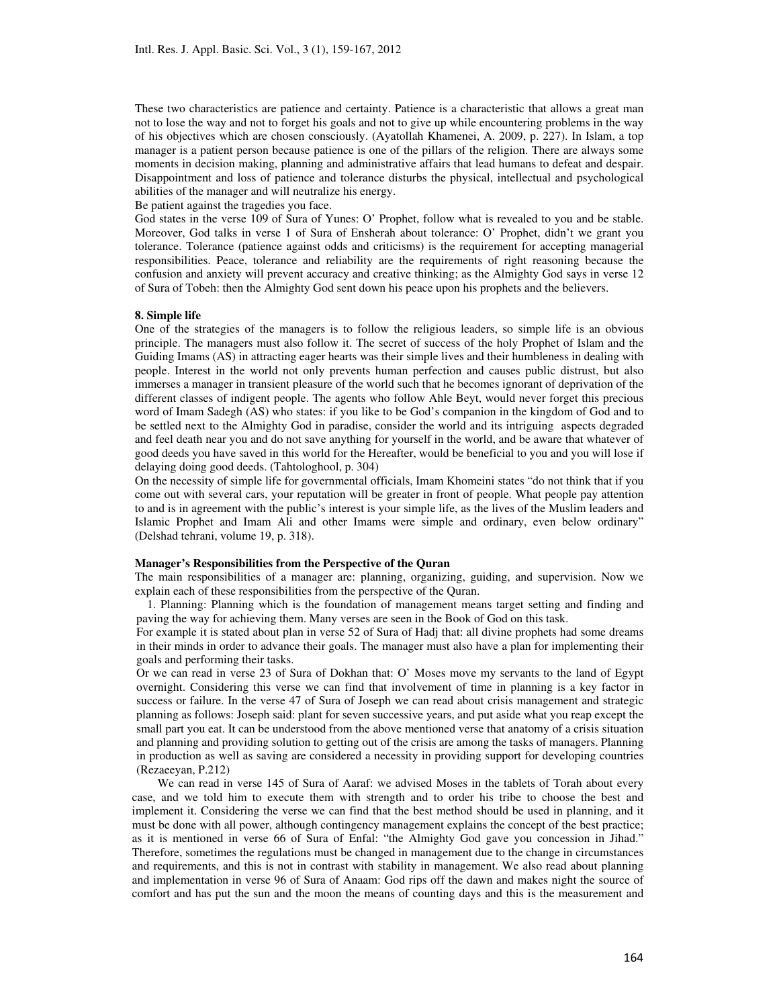These two characteristics are patience and certainty. Patience is a characteristic that allows a great man not to lose the way and not to forget his goals and not to give up while encountering problems in the way of his objectives which are chosen consciously. (Ayatollah Khamenei, A. 2009, p. 227). In Islam, a top manager is a patient person because patience is one of the pillars of the religion. There are always some moments in decision making, planning and administrative affairs that lead humans to defeat and despair. Disappointment and loss of patience and tolerance disturbs the physical, intellectual and psychological abilities of the manager and will neutralize his energy.

Be patient against the tragedies you face.

God states in the verse 109 of Sura of Yunes: O' Prophet, follow what is revealed to you and be stable. Moreover, God talks in verse 1 of Sura of Ensherah about tolerance: O' Prophet, didn't we grant you tolerance. Tolerance (patience against odds and criticisms) is the requirement for accepting managerial responsibilities. Peace, tolerance and reliability are the requirements of right reasoning because the confusion and anxiety will prevent accuracy and creative thinking; as the Almighty God says in verse 12 of Sura of Tobeh: then the Almighty God sent down his peace upon his prophets and the believers.

### 8. Simple life

One of the strategies of the managers is to follow the religious leaders, so simple life is an obvious principle. The managers must also follow it. The secret of success of the holy Prophet of Islam and the Guiding Imams (AS) in attracting eager hearts was their simple lives and their humbleness in dealing with people. Interest in the world not only prevents human perfection and causes public distrust, but also immerses a manager in transient pleasure of the world such that he becomes ignorant of deprivation of the different classes of indigent people. The agents who follow Ahle Beyt, would never forget this precious word of Imam Sadegh (AS) who states: if you like to be God's companion in the kingdom of God and to be settled next to the Almighty God in paradise, consider the world and its intriguing aspects degraded and feel death near you and do not save anything for yourself in the world, and be aware that whatever of good deeds you have saved in this world for the Hereafter, would be beneficial to you and you will lose if delaying doing good deeds. (Tahtologhool, p. 304)

On the necessity of simple life for governmental officials, Imam Khomeini states "do not think that if you come out with several cars, your reputation will be greater in front of people. What people pay attention to and is in agreement with the public's interest is your simple life, as the lives of the Muslim leaders and Islamic Prophet and Imam Ali and other Imams were simple and ordinary, even below ordinary" (Delshad tehrani, volume 19, p. 318).

#### Manager's Responsibilities from the Perspective of the Quran

The main responsibilities of a manager are: planning, organizing, guiding, and supervision. Now we explain each of these responsibilities from the perspective of the Quran.

1. Planning: Planning which is the foundation of management means target setting and finding and paving the way for achieving them. Many verses are seen in the Book of God on this task.

For example it is stated about plan in verse 52 of Sura of Hadj that: all divine prophets had some dreams in their minds in order to advance their goals. The manager must also have a plan for implementing their goals and performing their tasks.

Or we can read in verse 23 of Sura of Dokhan that: O' Moses move my servants to the land of Egypt overnight. Considering this verse we can find that involvement of time in planning is a key factor in success or failure. In the verse 47 of Sura of Joseph we can read about crisis management and strategic planning as follows: Joseph said: plant for seven successive years, and put aside what you reap except the small part you eat. It can be understood from the above mentioned verse that anatomy of a crisis situation and planning and providing solution to getting out of the crisis are among the tasks of managers. Planning in production as well as saving are considered a necessity in providing support for developing countries (Rezaeeyan, P.212)

We can read in verse 145 of Sura of Aaraf: we advised Moses in the tablets of Torah about every case, and we told him to execute them with strength and to order his tribe to choose the best and implement it. Considering the verse we can find that the best method should be used in planning, and it must be done with all power, although contingency management explains the concept of the best practice; as it is mentioned in verse 66 of Sura of Enfal: "the Almighty God gave you concession in Jihad." Therefore, sometimes the regulations must be changed in management due to the change in circumstances and requirements, and this is not in contrast with stability in management. We also read about planning and implementation in verse 96 of Sura of Anaam: God rips off the dawn and makes night the source of comfort and has put the sun and the moon the means of counting days and this is the measurement and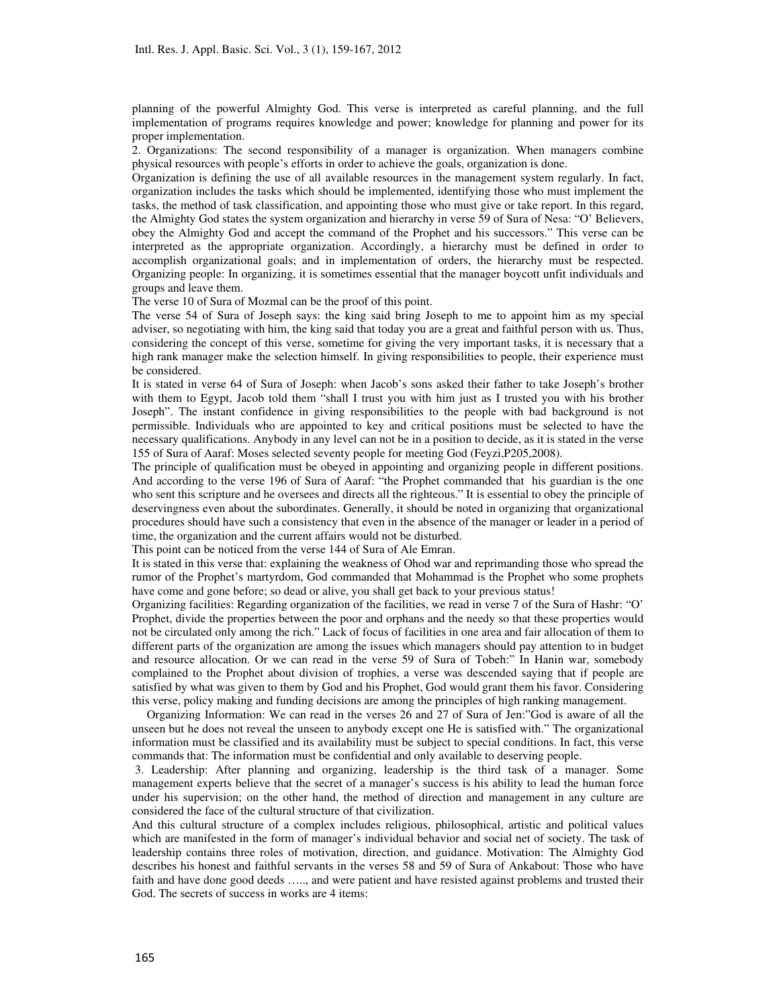planning of the powerful Almighty God. This verse is interpreted as careful planning, and the full implementation of programs requires knowledge and power; knowledge for planning and power for its proper implementation.

2. Organizations: The second responsibility of a manager is organization. When managers combine physical resources with people's efforts in order to achieve the goals, organization is done.

Organization is defining the use of all available resources in the management system regularly. In fact, organization includes the tasks which should be implemented, identifying those who must implement the tasks, the method of task classification, and appointing those who must give or take report. In this regard, the Almighty God states the system organization and hierarchy in verse 59 of Sura of Nesa: "O' Believers, obey the Almighty God and accept the command of the Prophet and his successors." This verse can be interpreted as the appropriate organization. Accordingly, a hierarchy must be defined in order to accomplish organizational goals; and in implementation of orders, the hierarchy must be respected. Organizing people: In organizing, it is sometimes essential that the manager boycott unfit individuals and groups and leave them.

The verse 10 of Sura of Mozmal can be the proof of this point.

The verse 54 of Sura of Joseph says: the king said bring Joseph to me to appoint him as my special adviser, so negotiating with him, the king said that today you are a great and faithful person with us. Thus, considering the concept of this verse, sometime for giving the very important tasks, it is necessary that a high rank manager make the selection himself. In giving responsibilities to people, their experience must be considered.

It is stated in verse 64 of Sura of Joseph: when Jacob's sons asked their father to take Joseph's brother with them to Egypt, Jacob told them "shall I trust you with him just as I trusted you with his brother Joseph". The instant confidence in giving responsibilities to the people with bad background is not permissible. Individuals who are appointed to key and critical positions must be selected to have the necessary qualifications. Anybody in any level can not be in a position to decide, as it is stated in the verse 155 of Sura of Aaraf: Moses selected seventy people for meeting God (Feyzi,P205,2008).

The principle of qualification must be obeyed in appointing and organizing people in different positions. And according to the verse 196 of Sura of Aaraf: "the Prophet commanded that his guardian is the one who sent this scripture and he oversees and directs all the righteous." It is essential to obey the principle of deservingness even about the subordinates. Generally, it should be noted in organizing that organizational procedures should have such a consistency that even in the absence of the manager or leader in a period of time, the organization and the current affairs would not be disturbed.

This point can be noticed from the verse 144 of Sura of Ale Emran.

It is stated in this verse that: explaining the weakness of Ohod war and reprimanding those who spread the rumor of the Prophet's martyrdom, God commanded that Mohammad is the Prophet who some prophets have come and gone before; so dead or alive, you shall get back to your previous status!

Organizing facilities: Regarding organization of the facilities, we read in verse 7 of the Sura of Hashr: "O' Prophet, divide the properties between the poor and orphans and the needy so that these properties would not be circulated only among the rich." Lack of focus of facilities in one area and fair allocation of them to different parts of the organization are among the issues which managers should pay attention to in budget and resource allocation. Or we can read in the verse 59 of Sura of Tobeh:" In Hanin war, somebody complained to the Prophet about division of trophies, a verse was descended saying that if people are satisfied by what was given to them by God and his Prophet, God would grant them his favor. Considering this verse, policy making and funding decisions are among the principles of high ranking management.

Organizing Information: We can read in the verses 26 and 27 of Sura of Jen:"God is aware of all the unseen but he does not reveal the unseen to anybody except one He is satisfied with." The organizational information must be classified and its availability must be subject to special conditions. In fact, this verse commands that: The information must be confidential and only available to deserving people.

 3. Leadership: After planning and organizing, leadership is the third task of a manager. Some management experts believe that the secret of a manager's success is his ability to lead the human force under his supervision; on the other hand, the method of direction and management in any culture are considered the face of the cultural structure of that civilization.

And this cultural structure of a complex includes religious, philosophical, artistic and political values which are manifested in the form of manager's individual behavior and social net of society. The task of leadership contains three roles of motivation, direction, and guidance. Motivation: The Almighty God describes his honest and faithful servants in the verses 58 and 59 of Sura of Ankabout: Those who have faith and have done good deeds ….., and were patient and have resisted against problems and trusted their God. The secrets of success in works are 4 items: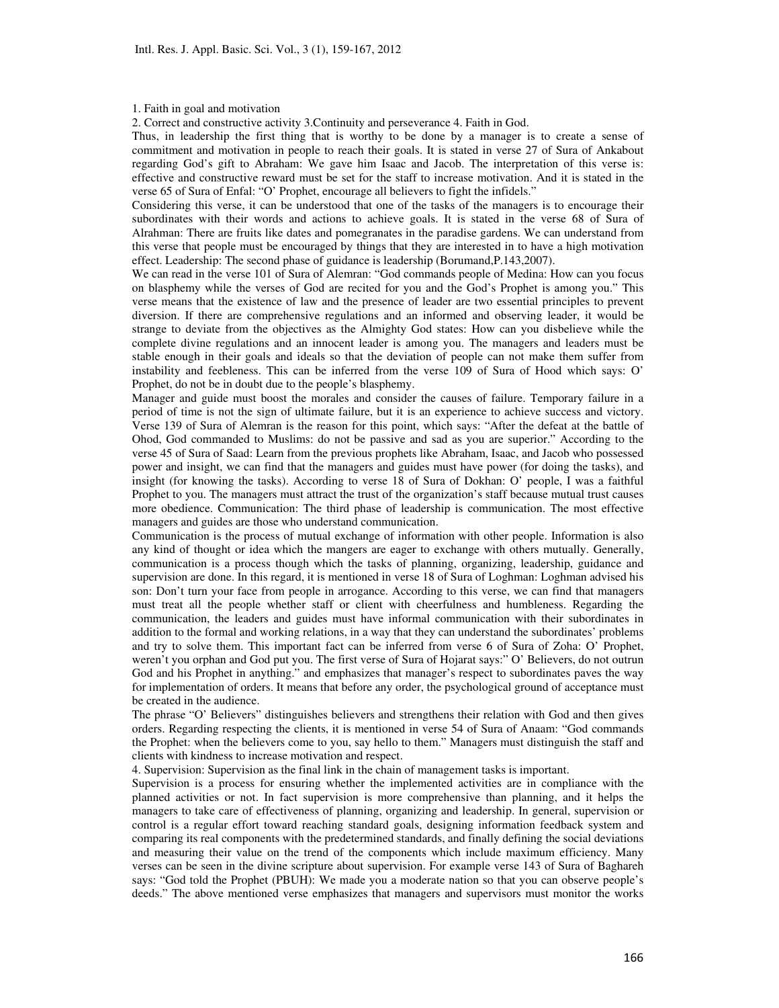#### 1. Faith in goal and motivation

2. Correct and constructive activity 3.Continuity and perseverance 4. Faith in God.

Thus, in leadership the first thing that is worthy to be done by a manager is to create a sense of commitment and motivation in people to reach their goals. It is stated in verse 27 of Sura of Ankabout regarding God's gift to Abraham: We gave him Isaac and Jacob. The interpretation of this verse is: effective and constructive reward must be set for the staff to increase motivation. And it is stated in the verse 65 of Sura of Enfal: "O' Prophet, encourage all believers to fight the infidels."

Considering this verse, it can be understood that one of the tasks of the managers is to encourage their subordinates with their words and actions to achieve goals. It is stated in the verse 68 of Sura of Alrahman: There are fruits like dates and pomegranates in the paradise gardens. We can understand from this verse that people must be encouraged by things that they are interested in to have a high motivation effect. Leadership: The second phase of guidance is leadership (Borumand,P.143,2007).

We can read in the verse 101 of Sura of Alemran: "God commands people of Medina: How can you focus on blasphemy while the verses of God are recited for you and the God's Prophet is among you." This verse means that the existence of law and the presence of leader are two essential principles to prevent diversion. If there are comprehensive regulations and an informed and observing leader, it would be strange to deviate from the objectives as the Almighty God states: How can you disbelieve while the complete divine regulations and an innocent leader is among you. The managers and leaders must be stable enough in their goals and ideals so that the deviation of people can not make them suffer from instability and feebleness. This can be inferred from the verse 109 of Sura of Hood which says: O' Prophet, do not be in doubt due to the people's blasphemy.

Manager and guide must boost the morales and consider the causes of failure. Temporary failure in a period of time is not the sign of ultimate failure, but it is an experience to achieve success and victory. Verse 139 of Sura of Alemran is the reason for this point, which says: "After the defeat at the battle of Ohod, God commanded to Muslims: do not be passive and sad as you are superior." According to the verse 45 of Sura of Saad: Learn from the previous prophets like Abraham, Isaac, and Jacob who possessed power and insight, we can find that the managers and guides must have power (for doing the tasks), and insight (for knowing the tasks). According to verse 18 of Sura of Dokhan: O' people, I was a faithful Prophet to you. The managers must attract the trust of the organization's staff because mutual trust causes more obedience. Communication: The third phase of leadership is communication. The most effective managers and guides are those who understand communication.

Communication is the process of mutual exchange of information with other people. Information is also any kind of thought or idea which the mangers are eager to exchange with others mutually. Generally, communication is a process though which the tasks of planning, organizing, leadership, guidance and supervision are done. In this regard, it is mentioned in verse 18 of Sura of Loghman: Loghman advised his son: Don't turn your face from people in arrogance. According to this verse, we can find that managers must treat all the people whether staff or client with cheerfulness and humbleness. Regarding the communication, the leaders and guides must have informal communication with their subordinates in addition to the formal and working relations, in a way that they can understand the subordinates' problems and try to solve them. This important fact can be inferred from verse 6 of Sura of Zoha: O' Prophet, weren't you orphan and God put you. The first verse of Sura of Hojarat says:" O' Believers, do not outrun God and his Prophet in anything." and emphasizes that manager's respect to subordinates paves the way for implementation of orders. It means that before any order, the psychological ground of acceptance must be created in the audience.

The phrase "O' Believers" distinguishes believers and strengthens their relation with God and then gives orders. Regarding respecting the clients, it is mentioned in verse 54 of Sura of Anaam: "God commands the Prophet: when the believers come to you, say hello to them." Managers must distinguish the staff and clients with kindness to increase motivation and respect.

4. Supervision: Supervision as the final link in the chain of management tasks is important.

Supervision is a process for ensuring whether the implemented activities are in compliance with the planned activities or not. In fact supervision is more comprehensive than planning, and it helps the managers to take care of effectiveness of planning, organizing and leadership. In general, supervision or control is a regular effort toward reaching standard goals, designing information feedback system and comparing its real components with the predetermined standards, and finally defining the social deviations and measuring their value on the trend of the components which include maximum efficiency. Many verses can be seen in the divine scripture about supervision. For example verse 143 of Sura of Baghareh says: "God told the Prophet (PBUH): We made you a moderate nation so that you can observe people's deeds." The above mentioned verse emphasizes that managers and supervisors must monitor the works